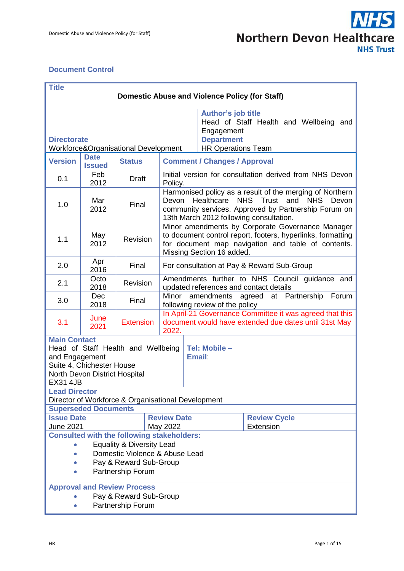

#### <span id="page-0-0"></span>**Document Control**

| <b>Title</b>                                                                                                                                                 |                                                                        |                                                    |                                                                                                                                                                                                                  |                                |                                        |
|--------------------------------------------------------------------------------------------------------------------------------------------------------------|------------------------------------------------------------------------|----------------------------------------------------|------------------------------------------------------------------------------------------------------------------------------------------------------------------------------------------------------------------|--------------------------------|----------------------------------------|
| Domestic Abuse and Violence Policy (for Staff)                                                                                                               |                                                                        |                                                    |                                                                                                                                                                                                                  |                                |                                        |
|                                                                                                                                                              |                                                                        |                                                    |                                                                                                                                                                                                                  |                                |                                        |
|                                                                                                                                                              |                                                                        |                                                    |                                                                                                                                                                                                                  | <b>Author's job title</b>      | Head of Staff Health and Wellbeing and |
|                                                                                                                                                              |                                                                        |                                                    |                                                                                                                                                                                                                  | Engagement                     |                                        |
| <b>Directorate</b>                                                                                                                                           |                                                                        |                                                    |                                                                                                                                                                                                                  | <b>Department</b>              |                                        |
| Workforce&Organisational Development                                                                                                                         |                                                                        |                                                    |                                                                                                                                                                                                                  | <b>HR Operations Team</b>      |                                        |
| <b>Version</b>                                                                                                                                               | <b>Date</b><br><b>Issued</b>                                           | <b>Status</b>                                      | <b>Comment / Changes / Approval</b>                                                                                                                                                                              |                                |                                        |
| 0.1                                                                                                                                                          | Feb<br>2012                                                            | <b>Draft</b>                                       | Initial version for consultation derived from NHS Devon<br>Policy.                                                                                                                                               |                                |                                        |
| 1.0                                                                                                                                                          | Mar<br>2012                                                            | Final                                              | Harmonised policy as a result of the merging of Northern<br>NHS Trust and NHS<br>Healthcare<br>Devon<br>Devon<br>community services. Approved by Partnership Forum on<br>13th March 2012 following consultation. |                                |                                        |
| 1.1                                                                                                                                                          | May<br>2012                                                            | Revision                                           | Minor amendments by Corporate Governance Manager<br>to document control report, footers, hyperlinks, formatting<br>for document map navigation and table of contents.<br>Missing Section 16 added.               |                                |                                        |
| 2.0                                                                                                                                                          | Apr<br>2016                                                            | Final                                              | For consultation at Pay & Reward Sub-Group                                                                                                                                                                       |                                |                                        |
| 2.1                                                                                                                                                          | Octo<br>2018                                                           | Revision                                           | Amendments further to NHS Council guidance and<br>updated references and contact details                                                                                                                         |                                |                                        |
| 3.0                                                                                                                                                          | <b>Dec</b><br>2018                                                     | Final                                              | amendments agreed at Partnership<br>Minor<br>Forum<br>following review of the policy                                                                                                                             |                                |                                        |
| 3.1                                                                                                                                                          | June<br>2021                                                           | <b>Extension</b>                                   | In April-21 Governance Committee it was agreed that this<br>document would have extended due dates until 31st May<br>2022.                                                                                       |                                |                                        |
| <b>Main Contact</b><br>Head of Staff Health and Wellbeing<br>and Engagement<br>Suite 4, Chichester House<br>North Devon District Hospital<br><b>EX31 4JB</b> |                                                                        |                                                    |                                                                                                                                                                                                                  | Tel: Mobile -<br><b>Email:</b> |                                        |
| <b>Lead Director</b>                                                                                                                                         |                                                                        |                                                    |                                                                                                                                                                                                                  |                                |                                        |
|                                                                                                                                                              |                                                                        | Director of Workforce & Organisational Development |                                                                                                                                                                                                                  |                                |                                        |
|                                                                                                                                                              | <b>Superseded Documents</b>                                            |                                                    |                                                                                                                                                                                                                  |                                |                                        |
| <b>Issue Date</b>                                                                                                                                            |                                                                        |                                                    | <b>Review Date</b>                                                                                                                                                                                               |                                | <b>Review Cycle</b>                    |
| Extension<br><b>June 2021</b><br>May 2022                                                                                                                    |                                                                        |                                                    |                                                                                                                                                                                                                  |                                |                                        |
| <b>Consulted with the following stakeholders:</b>                                                                                                            |                                                                        |                                                    |                                                                                                                                                                                                                  |                                |                                        |
|                                                                                                                                                              | <b>Equality &amp; Diversity Lead</b><br>Domestic Violence & Abuse Lead |                                                    |                                                                                                                                                                                                                  |                                |                                        |
| Pay & Reward Sub-Group                                                                                                                                       |                                                                        |                                                    |                                                                                                                                                                                                                  |                                |                                        |
| Partnership Forum                                                                                                                                            |                                                                        |                                                    |                                                                                                                                                                                                                  |                                |                                        |
| <b>Approval and Review Process</b>                                                                                                                           |                                                                        |                                                    |                                                                                                                                                                                                                  |                                |                                        |
| Pay & Reward Sub-Group                                                                                                                                       |                                                                        |                                                    |                                                                                                                                                                                                                  |                                |                                        |
|                                                                                                                                                              | Partnership Forum                                                      |                                                    |                                                                                                                                                                                                                  |                                |                                        |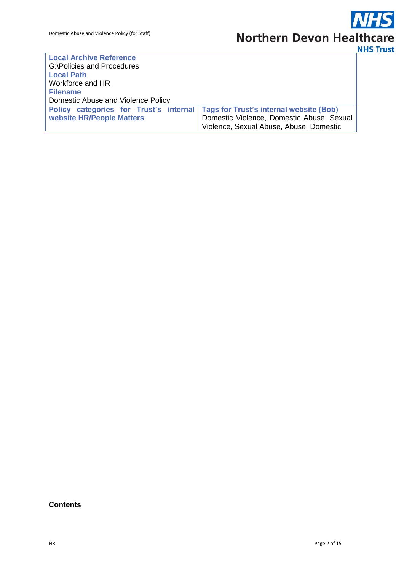| <b>Local Archive Reference</b>                                                   |                                           |  |  |  |
|----------------------------------------------------------------------------------|-------------------------------------------|--|--|--|
| G:\Policies and Procedures                                                       |                                           |  |  |  |
| <b>Local Path</b>                                                                |                                           |  |  |  |
| Workforce and HR                                                                 |                                           |  |  |  |
| <b>Filename</b>                                                                  |                                           |  |  |  |
| Domestic Abuse and Violence Policy                                               |                                           |  |  |  |
| Policy categories for Trust's internal   Tags for Trust's internal website (Bob) |                                           |  |  |  |
| website HR/People Matters                                                        | Domestic Violence, Domestic Abuse, Sexual |  |  |  |
|                                                                                  | Violence, Sexual Abuse, Abuse, Domestic   |  |  |  |

#### **Contents**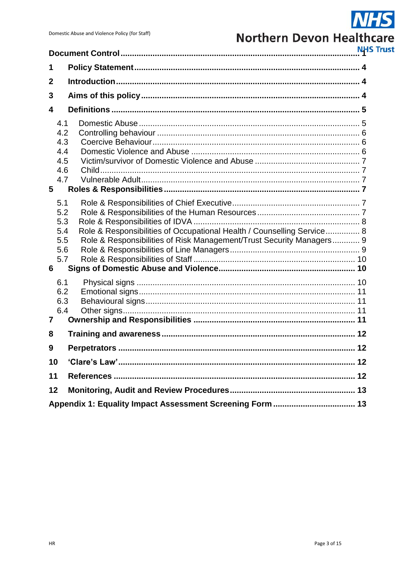## **NHS Northern Devon Healthcare**

**NHS Trust** 

|                                                    |                                                                                                                                                | NΗ |  |  |  |
|----------------------------------------------------|------------------------------------------------------------------------------------------------------------------------------------------------|----|--|--|--|
| 1                                                  |                                                                                                                                                |    |  |  |  |
| $\mathbf 2$                                        |                                                                                                                                                |    |  |  |  |
| 3                                                  |                                                                                                                                                |    |  |  |  |
| 4                                                  |                                                                                                                                                |    |  |  |  |
| 4.1<br>4.2<br>4.3<br>4.4<br>4.5<br>4.6<br>4.7<br>5 |                                                                                                                                                |    |  |  |  |
|                                                    |                                                                                                                                                |    |  |  |  |
| 5.1<br>5.2<br>5.3<br>5.4<br>5.5<br>5.6<br>5.7<br>6 | Role & Responsibilities of Occupational Health / Counselling Service 8<br>Role & Responsibilities of Risk Management/Trust Security Managers 9 |    |  |  |  |
| 6.1                                                |                                                                                                                                                |    |  |  |  |
| 6.2<br>6.3<br>6.4<br>7                             |                                                                                                                                                |    |  |  |  |
| 8                                                  |                                                                                                                                                |    |  |  |  |
| 9                                                  | <b>Perpetrators</b>                                                                                                                            | 12 |  |  |  |
| 10                                                 |                                                                                                                                                |    |  |  |  |
| 11                                                 |                                                                                                                                                |    |  |  |  |
| 12                                                 |                                                                                                                                                |    |  |  |  |
|                                                    |                                                                                                                                                |    |  |  |  |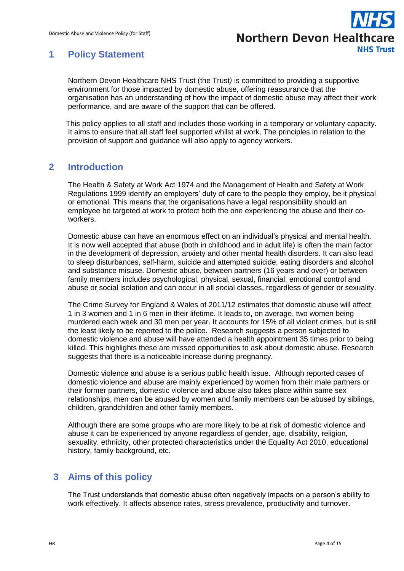

## <span id="page-3-0"></span>**1 Policy Statement**

Northern Devon Healthcare NHS Trust (the Trust*)* is committed to providing a supportive environment for those impacted by domestic abuse, offering reassurance that the organisation has an understanding of how the impact of domestic abuse may affect their work performance, and are aware of the support that can be offered.

This policy applies to all staff and includes those working in a temporary or voluntary capacity. It aims to ensure that all staff feel supported whilst at work. The principles in relation to the provision of support and guidance will also apply to agency workers.

## <span id="page-3-1"></span>**2 Introduction**

The Health & Safety at Work Act 1974 and the Management of Health and Safety at Work Regulations 1999 identify an employers' duty of care to the people they employ, be it physical or emotional. This means that the organisations have a legal responsibility should an employee be targeted at work to protect both the one experiencing the abuse and their coworkers.

Domestic abuse can have an enormous effect on an individual's physical and mental health. It is now well accepted that abuse (both in childhood and in adult life) is often the main factor in the development of depression, anxiety and other mental health disorders. It can also lead to sleep disturbances, self-harm, suicide and attempted suicide, eating disorders and alcohol and substance misuse. Domestic abuse, between partners (16 years and over) or between family members includes psychological, physical, sexual, financial, emotional control and abuse or social isolation and can occur in all social classes, regardless of gender or sexuality.

The Crime Survey for England & Wales of 2011/12 estimates that domestic abuse will affect 1 in 3 women and 1 in 6 men in their lifetime. It leads to, on average, two women being murdered each week and 30 men per year. It accounts for 15% of all violent crimes, but is still the least likely to be reported to the police. Research suggests a person subjected to domestic violence and abuse will have attended a health appointment 35 times prior to being killed. This highlights these are missed opportunities to ask about domestic abuse. Research suggests that there is a noticeable increase during pregnancy.

Domestic violence and abuse is a serious public health issue. Although reported cases of domestic violence and abuse are mainly experienced by women from their male partners or their former partners, domestic violence and abuse also takes place within same sex relationships, men can be abused by women and family members can be abused by siblings, children, grandchildren and other family members.

Although there are some groups who are more likely to be at risk of domestic violence and abuse it can be experienced by anyone regardless of gender, age, disability, religion, sexuality, ethnicity, other protected characteristics under the Equality Act 2010, educational history, family background, etc.

## <span id="page-3-2"></span>**3 Aims of this policy**

The Trust understands that domestic abuse often negatively impacts on a person's ability to work effectively. It affects absence rates, stress prevalence, productivity and turnover.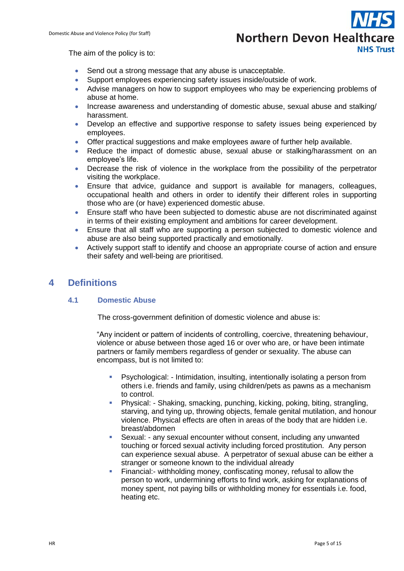# **Northern Devon Healthcare NHS Trust**

The aim of the policy is to:

- Send out a strong message that any abuse is unacceptable.
- Support employees experiencing safety issues inside/outside of work.
- Advise managers on how to support employees who may be experiencing problems of abuse at home.
- Increase awareness and understanding of domestic abuse, sexual abuse and stalking/ harassment.
- Develop an effective and supportive response to safety issues being experienced by employees.
- Offer practical suggestions and make employees aware of further help available.
- Reduce the impact of domestic abuse, sexual abuse or stalking/harassment on an employee's life.
- Decrease the risk of violence in the workplace from the possibility of the perpetrator visiting the workplace.
- Ensure that advice, guidance and support is available for managers, colleagues, occupational health and others in order to identify their different roles in supporting those who are (or have) experienced domestic abuse.
- Ensure staff who have been subjected to domestic abuse are not discriminated against in terms of their existing employment and ambitions for career development.
- Ensure that all staff who are supporting a person subjected to domestic violence and abuse are also being supported practically and emotionally.
- Actively support staff to identify and choose an appropriate course of action and ensure their safety and well-being are prioritised.

## <span id="page-4-1"></span><span id="page-4-0"></span>**4 Definitions**

#### **4.1 Domestic Abuse**

The cross-government definition of domestic violence and abuse is:

"Any incident or pattern of incidents of controlling, coercive, threatening behaviour, violence or abuse between those aged 16 or over who are, or have been intimate partners or family members regardless of gender or sexuality. The abuse can encompass, but is not limited to:

- Psychological: Intimidation, insulting, intentionally isolating a person from others i.e. friends and family, using children/pets as pawns as a mechanism to control.
- Physical: Shaking, smacking, punching, kicking, poking, biting, strangling, starving, and tying up, throwing objects, female genital mutilation, and honour violence. Physical effects are often in areas of the body that are hidden i.e. breast/abdomen
- Sexual: any sexual encounter without consent, including any unwanted touching or forced sexual activity including forced prostitution. Any person can experience sexual abuse. A perpetrator of sexual abuse can be either a stranger or someone known to the individual already
- Financial:- withholding money, confiscating money, refusal to allow the person to work, undermining efforts to find work, asking for explanations of money spent, not paying bills or withholding money for essentials i.e. food, heating etc.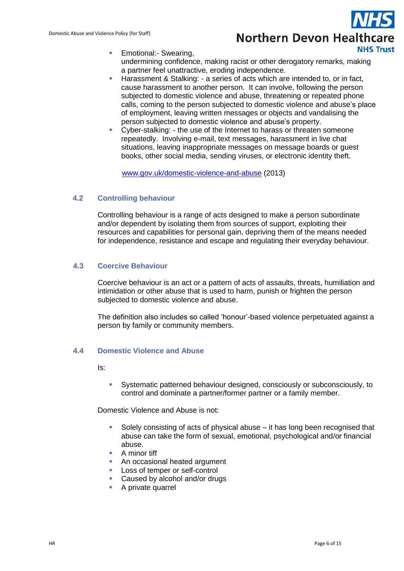

- **Emotional:** Swearing, undermining confidence, making racist or other derogatory remarks, making a partner feel unattractive, eroding independence.
- Harassment & Stalking: a series of acts which are intended to, or in fact, cause harassment to another person. It can involve, following the person subjected to domestic violence and abuse, threatening or repeated phone calls, coming to the person subjected to domestic violence and abuse's place of employment, leaving written messages or objects and vandalising the person subjected to domestic violence and abuse's property.
- Cyber-stalking: the use of the Internet to harass or threaten someone repeatedly. Involving e-mail, text messages, harassment in live chat situations, leaving inappropriate messages on message boards or guest books, other social media, sending viruses, or electronic identity theft.

[www.gov.uk/domestic-violence-and-abuse](http://www.gov.uk/domestic-violence-and-abuse) (2013)

#### <span id="page-5-0"></span>**4.2 Controlling behaviour**

Controlling behaviour is a range of acts designed to make a person subordinate and/or dependent by isolating them from sources of support, exploiting their resources and capabilities for personal gain, depriving them of the means needed for independence, resistance and escape and regulating their everyday behaviour.

#### <span id="page-5-1"></span>**4.3 Coercive Behaviour**

Coercive behaviour is an act or a pattern of acts of assaults, threats, humiliation and intimidation or other abuse that is used to harm, punish or frighten the person subjected to domestic violence and abuse.

The definition also includes so called 'honour'-based violence perpetuated against a person by family or community members.

#### <span id="page-5-2"></span>**4.4 Domestic Violence and Abuse**

Is:

 Systematic patterned behaviour designed, consciously or subconsciously, to control and dominate a partner/former partner or a family member.

Domestic Violence and Abuse is not:

- Solely consisting of acts of physical abuse it has long been recognised that abuse can take the form of sexual, emotional, psychological and/or financial abuse.
- A minor tiff
- An occasional heated argument
- **Loss of temper or self-control**
- **Caused by alcohol and/or drugs**
- **A** private quarrel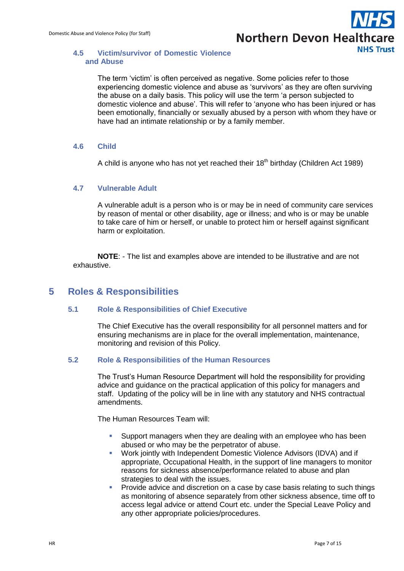

#### <span id="page-6-0"></span>**4.5 Victim/survivor of Domestic Violence and Abuse**

The term 'victim' is often perceived as negative. Some policies refer to those experiencing domestic violence and abuse as 'survivors' as they are often surviving the abuse on a daily basis. This policy will use the term 'a person subjected to domestic violence and abuse'. This will refer to 'anyone who has been injured or has been emotionally, financially or sexually abused by a person with whom they have or have had an intimate relationship or by a family member.

#### <span id="page-6-1"></span>**4.6 Child**

A child is anyone who has not yet reached their  $18<sup>th</sup>$  birthday (Children Act 1989)

#### <span id="page-6-2"></span>**4.7 Vulnerable Adult**

A vulnerable adult is a person who is or may be in need of community care services by reason of mental or other disability, age or illness; and who is or may be unable to take care of him or herself, or unable to protect him or herself against significant harm or exploitation.

**NOTE**: - The list and examples above are intended to be illustrative and are not exhaustive.

### <span id="page-6-4"></span><span id="page-6-3"></span>**5 Roles & Responsibilities**

#### **5.1 Role & Responsibilities of Chief Executive**

The Chief Executive has the overall responsibility for all personnel matters and for ensuring mechanisms are in place for the overall implementation, maintenance, monitoring and revision of this Policy.

#### <span id="page-6-5"></span>**5.2 Role & Responsibilities of the Human Resources**

The Trust's Human Resource Department will hold the responsibility for providing advice and guidance on the practical application of this policy for managers and staff. Updating of the policy will be in line with any statutory and NHS contractual amendments.

The Human Resources Team will:

- Support managers when they are dealing with an employee who has been abused or who may be the perpetrator of abuse.
- Work jointly with Independent Domestic Violence Advisors (IDVA) and if appropriate, Occupational Health, in the support of line managers to monitor reasons for sickness absence/performance related to abuse and plan strategies to deal with the issues.
- **Provide advice and discretion on a case by case basis relating to such things** as monitoring of absence separately from other sickness absence, time off to access legal advice or attend Court etc. under the Special Leave Policy and any other appropriate policies/procedures.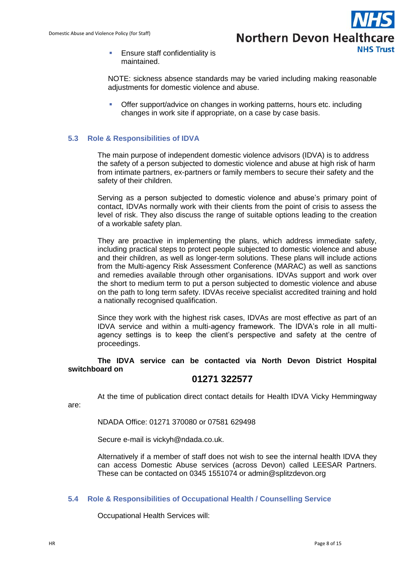

**Ensure staff confidentiality is** maintained.

NOTE: sickness absence standards may be varied including making reasonable adjustments for domestic violence and abuse.

 Offer support/advice on changes in working patterns, hours etc. including changes in work site if appropriate, on a case by case basis.

#### <span id="page-7-0"></span>**5.3 Role & Responsibilities of IDVA**

The main purpose of independent domestic violence advisors (IDVA) is to address the safety of a person subjected to domestic violence and abuse at high risk of harm from intimate partners, ex-partners or family members to secure their safety and the safety of their children.

Serving as a person subjected to domestic violence and abuse's primary point of contact, IDVAs normally work with their clients from the point of crisis to assess the level of risk. They also discuss the range of suitable options leading to the creation of a workable safety plan.

They are proactive in implementing the plans, which address immediate safety, including practical steps to protect people subjected to domestic violence and abuse and their children, as well as longer-term solutions. These plans will include actions from the Multi-agency Risk Assessment Conference (MARAC) as well as sanctions and remedies available through other organisations. IDVAs support and work over the short to medium term to put a person subjected to domestic violence and abuse on the path to long term safety. IDVAs receive specialist accredited training and hold a nationally recognised qualification.

Since they work with the highest risk cases, IDVAs are most effective as part of an IDVA service and within a multi-agency framework. The IDVA's role in all multiagency settings is to keep the client's perspective and safety at the centre of proceedings.

**The IDVA service can be contacted via North Devon District Hospital switchboard on**

#### **01271 322577**

At the time of publication direct contact details for Health IDVA Vicky Hemmingway

are:

NDADA Office: 01271 370080 or 07581 629498

Secure e-mail is vickyh@ndada.co.uk.

Alternatively if a member of staff does not wish to see the internal health IDVA they can access Domestic Abuse services (across Devon) called LEESAR Partners. These can be contacted on 0345 1551074 or admin@splitzdevon.org

#### <span id="page-7-1"></span>**5.4 Role & Responsibilities of Occupational Health / Counselling Service**

Occupational Health Services will: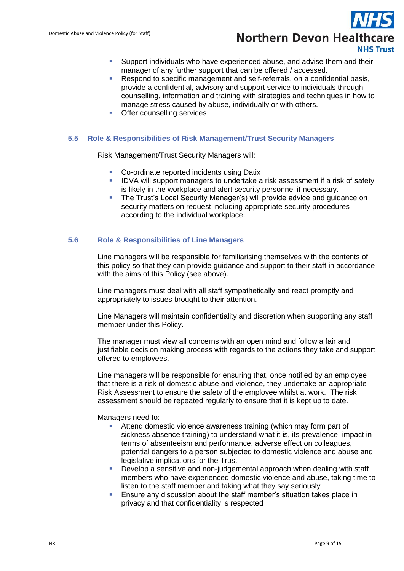

- Support individuals who have experienced abuse, and advise them and their manager of any further support that can be offered / accessed.
- Respond to specific management and self-referrals, on a confidential basis, provide a confidential, advisory and support service to individuals through counselling, information and training with strategies and techniques in how to manage stress caused by abuse, individually or with others.
- Offer counselling services

#### <span id="page-8-0"></span>**5.5 Role & Responsibilities of Risk Management/Trust Security Managers**

Risk Management/Trust Security Managers will:

- **Co-ordinate reported incidents using Datix**
- **IDVA will support managers to undertake a risk assessment if a risk of safety** is likely in the workplace and alert security personnel if necessary.
- The Trust's Local Security Manager(s) will provide advice and guidance on security matters on request including appropriate security procedures according to the individual workplace.

#### <span id="page-8-1"></span>**5.6 Role & Responsibilities of Line Managers**

Line managers will be responsible for familiarising themselves with the contents of this policy so that they can provide guidance and support to their staff in accordance with the aims of this Policy (see above).

Line managers must deal with all staff sympathetically and react promptly and appropriately to issues brought to their attention.

Line Managers will maintain confidentiality and discretion when supporting any staff member under this Policy.

The manager must view all concerns with an open mind and follow a fair and justifiable decision making process with regards to the actions they take and support offered to employees.

Line managers will be responsible for ensuring that, once notified by an employee that there is a risk of domestic abuse and violence, they undertake an appropriate Risk Assessment to ensure the safety of the employee whilst at work. The risk assessment should be repeated regularly to ensure that it is kept up to date.

Managers need to:

- Attend domestic violence awareness training (which may form part of sickness absence training) to understand what it is, its prevalence, impact in terms of absenteeism and performance, adverse effect on colleagues, potential dangers to a person subjected to domestic violence and abuse and legislative implications for the Trust
- **•** Develop a sensitive and non-judgemental approach when dealing with staff members who have experienced domestic violence and abuse, taking time to listen to the staff member and taking what they say seriously
- Ensure any discussion about the staff member's situation takes place in privacy and that confidentiality is respected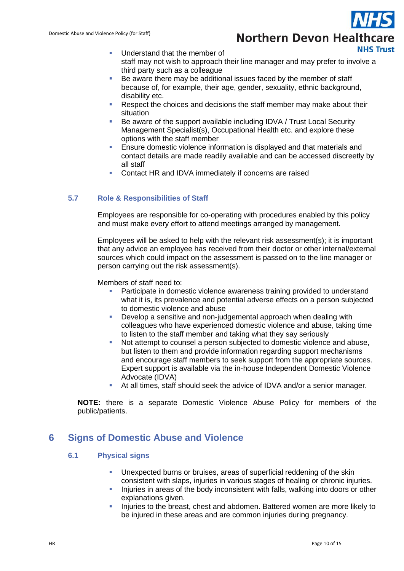## **Northern Devon Healthcare NHS Trust**

- Understand that the member of staff may not wish to approach their line manager and may prefer to involve a third party such as a colleague
- Be aware there may be additional issues faced by the member of staff because of, for example, their age, gender, sexuality, ethnic background, disability etc.
- Respect the choices and decisions the staff member may make about their situation
- Be aware of the support available including IDVA / Trust Local Security Management Specialist(s), Occupational Health etc. and explore these options with the staff member
- **Ensure domestic violence information is displayed and that materials and** contact details are made readily available and can be accessed discreetly by all staff
- Contact HR and IDVA immediately if concerns are raised

#### <span id="page-9-0"></span>**5.7 Role & Responsibilities of Staff**

Employees are responsible for co-operating with procedures enabled by this policy and must make every effort to attend meetings arranged by management.

Employees will be asked to help with the relevant risk assessment(s); it is important that any advice an employee has received from their doctor or other internal/external sources which could impact on the assessment is passed on to the line manager or person carrying out the risk assessment(s).

Members of staff need to:

- Participate in domestic violence awareness training provided to understand what it is, its prevalence and potential adverse effects on a person subjected to domestic violence and abuse
- **-** Develop a sensitive and non-judgemental approach when dealing with colleagues who have experienced domestic violence and abuse, taking time to listen to the staff member and taking what they say seriously
- Not attempt to counsel a person subjected to domestic violence and abuse, but listen to them and provide information regarding support mechanisms and encourage staff members to seek support from the appropriate sources. Expert support is available via the in-house Independent Domestic Violence Advocate (IDVA)
- At all times, staff should seek the advice of IDVA and/or a senior manager.

**NOTE:** there is a separate Domestic Violence Abuse Policy for members of the public/patients.

## <span id="page-9-2"></span><span id="page-9-1"></span>**6 Signs of Domestic Abuse and Violence**

#### **6.1 Physical signs**

- Unexpected burns or bruises, areas of superficial reddening of the skin consistent with slaps, injuries in various stages of healing or chronic injuries.
- Injuries in areas of the body inconsistent with falls, walking into doors or other explanations given.
- Injuries to the breast, chest and abdomen. Battered women are more likely to be injured in these areas and are common injuries during pregnancy.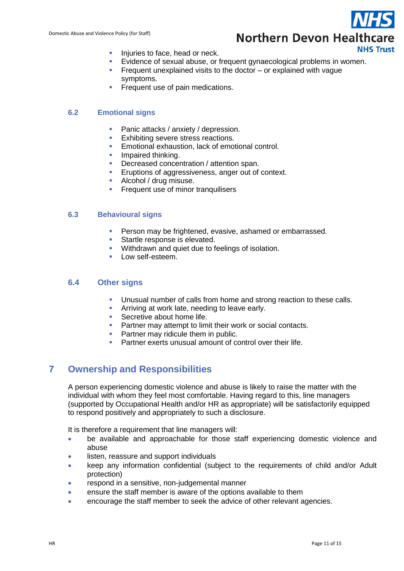## **Northern Devon Healthcare NHS Trust**

- Injuries to face, head or neck.
- Evidence of sexual abuse, or frequent gynaecological problems in women.
- Frequent unexplained visits to the doctor  $-$  or explained with vague symptoms.
- Frequent use of pain medications.

#### <span id="page-10-0"></span>**6.2 Emotional signs**

- **Panic attacks / anxiety / depression.**
- **Exhibiting severe stress reactions.**
- **Emotional exhaustion, lack of emotional control.**
- Impaired thinking.
- Decreased concentration / attention span.
- **E**ruptions of aggressiveness, anger out of context.
- **Alcohol / drug misuse.**
- **Filter** Frequent use of minor tranquilisers

#### <span id="page-10-1"></span>**6.3 Behavioural signs**

- **Person may be frightened, evasive, ashamed or embarrassed.**
- Startle response is elevated.
- **Withdrawn and quiet due to feelings of isolation.**
- Low self-esteem.

#### <span id="page-10-2"></span>**6.4 Other signs**

- Unusual number of calls from home and strong reaction to these calls.
- **Arriving at work late, needing to leave early.**
- **Secretive about home life.**
- **Partner may attempt to limit their work or social contacts.**
- **Partner may ridicule them in public.**
- Partner exerts unusual amount of control over their life.

## <span id="page-10-3"></span>**7 Ownership and Responsibilities**

A person experiencing domestic violence and abuse is likely to raise the matter with the individual with whom they feel most comfortable. Having regard to this, line managers (supported by Occupational Health and/or HR as appropriate) will be satisfactorily equipped to respond positively and appropriately to such a disclosure.

It is therefore a requirement that line managers will:

- be available and approachable for those staff experiencing domestic violence and abuse
- listen, reassure and support individuals
- keep any information confidential (subject to the requirements of child and/or Adult protection)
- respond in a sensitive, non-judgemental manner
- ensure the staff member is aware of the options available to them
- encourage the staff member to seek the advice of other relevant agencies.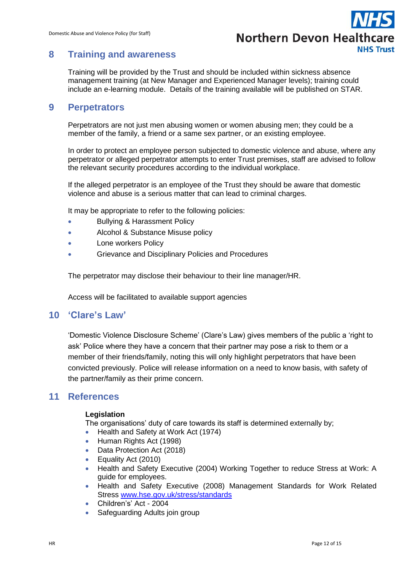

## <span id="page-11-0"></span>**8 Training and awareness**

Training will be provided by the Trust and should be included within sickness absence management training (at New Manager and Experienced Manager levels); training could include an e-learning module. Details of the training available will be published on STAR.

### <span id="page-11-1"></span>**9 Perpetrators**

Perpetrators are not just men abusing women or women abusing men; they could be a member of the family, a friend or a same sex partner, or an existing employee.

In order to protect an employee person subjected to domestic violence and abuse, where any perpetrator or alleged perpetrator attempts to enter Trust premises, staff are advised to follow the relevant security procedures according to the individual workplace.

If the alleged perpetrator is an employee of the Trust they should be aware that domestic violence and abuse is a serious matter that can lead to criminal charges.

It may be appropriate to refer to the following policies:

- Bullying & Harassment Policy
- Alcohol & Substance Misuse policy
- Lone workers Policy
- **•** Grievance and Disciplinary Policies and Procedures

The perpetrator may disclose their behaviour to their line manager/HR.

Access will be facilitated to available support agencies

### <span id="page-11-2"></span>**10 'Clare's Law'**

'Domestic Violence Disclosure Scheme' (Clare's Law) gives members of the public a 'right to ask' Police where they have a concern that their partner may pose a risk to them or a member of their friends/family, noting this will only highlight perpetrators that have been convicted previously. Police will release information on a need to know basis, with safety of the partner/family as their prime concern.

### <span id="page-11-3"></span>**11 References**

#### **Legislation**

The organisations' duty of care towards its staff is determined externally by;

- Health and Safety at Work Act (1974)
- Human Rights Act (1998)
- Data Protection Act (2018)
- Equality Act (2010)
- Health and Safety Executive (2004) Working Together to reduce Stress at Work: A guide for employees.
- Health and Safety Executive (2008) Management Standards for Work Related Stress [www.hse.gov.uk/stress/standards](http://www.hse.gov.uk/stress/standards)
- Children's' Act 2004
- Safeguarding Adults join group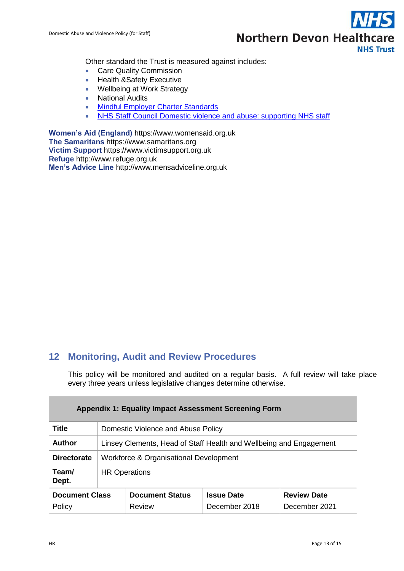

Other standard the Trust is measured against includes:

- Care Quality Commission
- Health &Safety Executive
- Wellbeing at Work Strategy
- National Audits
- [Mindful Employer Charter Standards](http://www.mindfulemployer.net/charter)
- NHS Staff Council Domestic violence and abuse: supporting NHS staff

**Women's Aid (England)** https://www.womensaid.org.uk **The Samaritans** https://www.samaritans.org **Victim Support** https://www.victimsupport.org.uk **Refuge** http://www.refuge.org.uk **Men's Advice Line** http://www.mensadviceline.org.uk

## <span id="page-12-0"></span>**12 Monitoring, Audit and Review Procedures**

This policy will be monitored and audited on a regular basis. A full review will take place every three years unless legislative changes determine otherwise.

<span id="page-12-1"></span>

| <b>Appendix 1: Equality Impact Assessment Screening Form</b> |                                                                    |                                         |                                    |                                     |  |
|--------------------------------------------------------------|--------------------------------------------------------------------|-----------------------------------------|------------------------------------|-------------------------------------|--|
| <b>Title</b>                                                 | Domestic Violence and Abuse Policy                                 |                                         |                                    |                                     |  |
| Author                                                       | Linsey Clements, Head of Staff Health and Wellbeing and Engagement |                                         |                                    |                                     |  |
| <b>Directorate</b>                                           | Workforce & Organisational Development                             |                                         |                                    |                                     |  |
| Team/<br>Dept.                                               | <b>HR Operations</b>                                               |                                         |                                    |                                     |  |
| <b>Document Class</b><br>Policy                              |                                                                    | <b>Document Status</b><br><b>Review</b> | <b>Issue Date</b><br>December 2018 | <b>Review Date</b><br>December 2021 |  |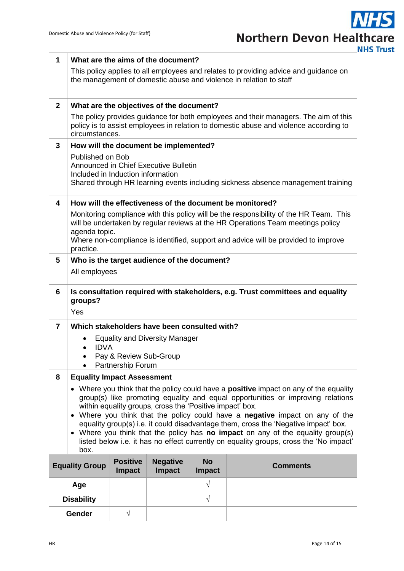**NHS Trust** 

| $\mathbf{1}$                                                                                                                                                                                                                                                                                                                                                                                                                                                                                                                                                                                          | What are the aims of the document?                                                                                                                                                         |                                                                                                                                                                              |                                              |                            |                                                                                    |
|-------------------------------------------------------------------------------------------------------------------------------------------------------------------------------------------------------------------------------------------------------------------------------------------------------------------------------------------------------------------------------------------------------------------------------------------------------------------------------------------------------------------------------------------------------------------------------------------------------|--------------------------------------------------------------------------------------------------------------------------------------------------------------------------------------------|------------------------------------------------------------------------------------------------------------------------------------------------------------------------------|----------------------------------------------|----------------------------|------------------------------------------------------------------------------------|
|                                                                                                                                                                                                                                                                                                                                                                                                                                                                                                                                                                                                       |                                                                                                                                                                                            | This policy applies to all employees and relates to providing advice and guidance on<br>the management of domestic abuse and violence in relation to staff                   |                                              |                            |                                                                                    |
| $\overline{2}$                                                                                                                                                                                                                                                                                                                                                                                                                                                                                                                                                                                        |                                                                                                                                                                                            | What are the objectives of the document?                                                                                                                                     |                                              |                            |                                                                                    |
|                                                                                                                                                                                                                                                                                                                                                                                                                                                                                                                                                                                                       | circumstances.                                                                                                                                                                             | The policy provides guidance for both employees and their managers. The aim of this<br>policy is to assist employees in relation to domestic abuse and violence according to |                                              |                            |                                                                                    |
| 3                                                                                                                                                                                                                                                                                                                                                                                                                                                                                                                                                                                                     |                                                                                                                                                                                            |                                                                                                                                                                              | How will the document be implemented?        |                            |                                                                                    |
|                                                                                                                                                                                                                                                                                                                                                                                                                                                                                                                                                                                                       | Published on Bob                                                                                                                                                                           | Announced in Chief Executive Bulletin<br>Included in Induction information<br>Shared through HR learning events including sickness absence management training               |                                              |                            |                                                                                    |
| $\overline{\mathbf{4}}$                                                                                                                                                                                                                                                                                                                                                                                                                                                                                                                                                                               |                                                                                                                                                                                            |                                                                                                                                                                              |                                              |                            | How will the effectiveness of the document be monitored?                           |
|                                                                                                                                                                                                                                                                                                                                                                                                                                                                                                                                                                                                       | Monitoring compliance with this policy will be the responsibility of the HR Team. This<br>will be undertaken by regular reviews at the HR Operations Team meetings policy<br>agenda topic. |                                                                                                                                                                              |                                              |                            |                                                                                    |
|                                                                                                                                                                                                                                                                                                                                                                                                                                                                                                                                                                                                       | practice.                                                                                                                                                                                  |                                                                                                                                                                              |                                              |                            | Where non-compliance is identified, support and advice will be provided to improve |
| 5                                                                                                                                                                                                                                                                                                                                                                                                                                                                                                                                                                                                     |                                                                                                                                                                                            |                                                                                                                                                                              | Who is the target audience of the document?  |                            |                                                                                    |
|                                                                                                                                                                                                                                                                                                                                                                                                                                                                                                                                                                                                       | All employees                                                                                                                                                                              |                                                                                                                                                                              |                                              |                            |                                                                                    |
| 6                                                                                                                                                                                                                                                                                                                                                                                                                                                                                                                                                                                                     | Is consultation required with stakeholders, e.g. Trust committees and equality<br>groups?<br>Yes                                                                                           |                                                                                                                                                                              |                                              |                            |                                                                                    |
| $\overline{7}$                                                                                                                                                                                                                                                                                                                                                                                                                                                                                                                                                                                        |                                                                                                                                                                                            |                                                                                                                                                                              | Which stakeholders have been consulted with? |                            |                                                                                    |
|                                                                                                                                                                                                                                                                                                                                                                                                                                                                                                                                                                                                       |                                                                                                                                                                                            |                                                                                                                                                                              | <b>Equality and Diversity Manager</b>        |                            |                                                                                    |
|                                                                                                                                                                                                                                                                                                                                                                                                                                                                                                                                                                                                       | <b>IDVA</b>                                                                                                                                                                                | Pay & Review Sub-Group                                                                                                                                                       |                                              |                            |                                                                                    |
|                                                                                                                                                                                                                                                                                                                                                                                                                                                                                                                                                                                                       |                                                                                                                                                                                            | Partnership Forum                                                                                                                                                            |                                              |                            |                                                                                    |
| 8                                                                                                                                                                                                                                                                                                                                                                                                                                                                                                                                                                                                     | <b>Equality Impact Assessment</b>                                                                                                                                                          |                                                                                                                                                                              |                                              |                            |                                                                                    |
| • Where you think that the policy could have a <b>positive</b> impact on any of the equality<br>group(s) like promoting equality and equal opportunities or improving relations<br>within equality groups, cross the 'Positive impact' box.<br>Where you think that the policy could have a negative impact on any of the<br>equality group(s) i.e. it could disadvantage them, cross the 'Negative impact' box.<br>• Where you think that the policy has no impact on any of the equality group(s)<br>listed below i.e. it has no effect currently on equality groups, cross the 'No impact'<br>box. |                                                                                                                                                                                            |                                                                                                                                                                              |                                              |                            |                                                                                    |
|                                                                                                                                                                                                                                                                                                                                                                                                                                                                                                                                                                                                       | <b>Equality Group</b>                                                                                                                                                                      | <b>Positive</b><br><b>Impact</b>                                                                                                                                             | <b>Negative</b><br><b>Impact</b>             | <b>No</b><br><b>Impact</b> | <b>Comments</b>                                                                    |
|                                                                                                                                                                                                                                                                                                                                                                                                                                                                                                                                                                                                       | Age                                                                                                                                                                                        |                                                                                                                                                                              |                                              | $\sqrt{}$                  |                                                                                    |
|                                                                                                                                                                                                                                                                                                                                                                                                                                                                                                                                                                                                       | <b>Disability</b>                                                                                                                                                                          |                                                                                                                                                                              |                                              | $\sqrt{ }$                 |                                                                                    |
|                                                                                                                                                                                                                                                                                                                                                                                                                                                                                                                                                                                                       | <b>Gender</b>                                                                                                                                                                              | $\sqrt{}$                                                                                                                                                                    |                                              |                            |                                                                                    |